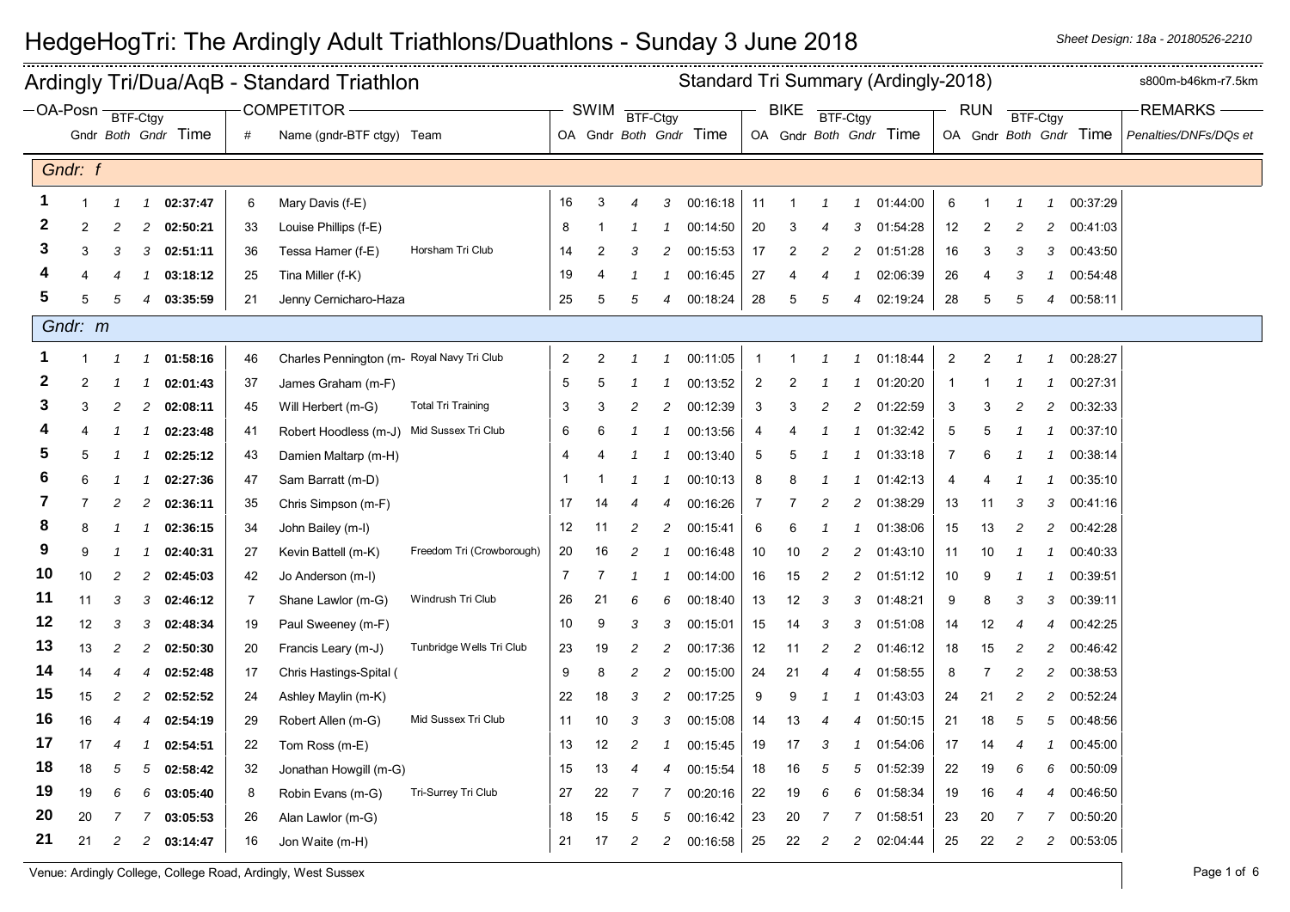| Ardingly Tri/Dua/AqB - Standard Triathlon |                |                 |                |                     |    |                                            |                           |                |                | Standard Tri Summary (Ardingly-2018) |                |                        |                |                |                |                |                        |                |              |                | s800m-b46km-r7.5km |                        |                       |
|-------------------------------------------|----------------|-----------------|----------------|---------------------|----|--------------------------------------------|---------------------------|----------------|----------------|--------------------------------------|----------------|------------------------|----------------|----------------|----------------|----------------|------------------------|----------------|--------------|----------------|--------------------|------------------------|-----------------------|
| $-OA-Posn -$                              |                | <b>BTF-Ctgy</b> |                |                     |    | COMPETITOR -                               |                           |                | SWIM           | BTF-Ctgy                             |                |                        |                | <b>BIKE</b>    | BTF-Ctgy       |                |                        |                | <b>RUN</b>   | BTF-Ctgy       |                    |                        | <b>REMARKS</b>        |
|                                           |                |                 |                | Gndr Both Gndr Time | #  | Name (gndr-BTF ctgy) Team                  |                           |                |                |                                      |                | OA Gndr Both Gndr Time |                |                |                |                | OA Gndr Both Gndr Time |                |              |                |                    | OA Gndr Both Gndr Time | Penalties/DNFs/DQs et |
|                                           | Gndr: f        |                 |                |                     |    |                                            |                           |                |                |                                      |                |                        |                |                |                |                |                        |                |              |                |                    |                        |                       |
| 1                                         | $\overline{1}$ | $\overline{1}$  | $\mathcal I$   | 02:37:47            | 6  | Mary Davis (f-E)                           |                           | 16             | 3              | $\overline{4}$                       | 3              | 00:16:18               | 11             |                | $\mathcal I$   | $\mathbf{1}$   | 01:44:00               | $\,6$          | $\mathbf{1}$ | $\mathcal I$   | $\overline{1}$     | 00:37:29               |                       |
| 2                                         | $\overline{2}$ | $\overline{c}$  | 2              | 02:50:21            | 33 | Louise Phillips (f-E)                      |                           | 8              | -1             | - 1                                  |                | 00:14:50               | 20             | 3              | $\overline{4}$ | 3              | 01:54:28               | 12             | 2            | 2              | $\overline{c}$     | 00:41:03               |                       |
| з                                         | 3              | 3               | 3              | 02:51:11            | 36 | Tessa Hamer (f-E)                          | Horsham Tri Club          | 14             | $\overline{2}$ | 3                                    | 2              | 00:15:53               | 17             | $\overline{2}$ | $\overline{c}$ | 2              | 01:51:28               | 16             | 3            | 3              | 3                  | 00:43:50               |                       |
|                                           |                | $\overline{4}$  |                | 03:18:12            | 25 | Tina Miller (f-K)                          |                           | 19             | $\overline{4}$ | -1                                   | $\mathcal I$   | 00:16:45               | 27             |                | 4              | $\mathcal I$   | 02:06:39               | 26             | 4            | 3              |                    | 00:54:48               |                       |
| 5                                         | 5              | 5               | 4              | 03:35:59            | 21 | Jenny Cernicharo-Haza                      |                           | 25             | 5              | 5                                    | $\overline{4}$ | 00:18:24               | 28             | 5              | 5              | 4              | 02:19:24               | 28             | 5            | 5              | $\overline{4}$     | 00:58:11               |                       |
|                                           | Gndr: m        |                 |                |                     |    |                                            |                           |                |                |                                      |                |                        |                |                |                |                |                        |                |              |                |                    |                        |                       |
|                                           | $\mathbf{1}$   |                 | -1             | 01:58:16            | 46 | Charles Pennington (m- Royal Navy Tri Club |                           | 2              | $\overline{2}$ | $\mathcal I$                         | $\mathcal I$   | 00:11:05               | -1             |                | 1              | $\mathcal{I}$  | 01:18:44               | $\overline{c}$ | 2            |                | 1                  | 00:28:27               |                       |
| 2                                         | $\overline{2}$ |                 |                | 02:01:43            | 37 | James Graham (m-F)                         |                           | 5              | 5              |                                      |                | 00:13:52               | $\overline{2}$ | 2              |                |                | 01:20:20               | -1             |              |                | 1                  | 00:27:31               |                       |
| 3                                         | 3              | $\overline{c}$  | $\overline{c}$ | 02:08:11            | 45 | Will Herbert (m-G)                         | <b>Total Tri Training</b> | 3              | 3              | $\overline{c}$                       | $\overline{c}$ | 00:12:39               | 3              | 3              | 2              | 2              | 01:22:59               | 3              | 3            | 2              | $\overline{c}$     | 00:32:33               |                       |
|                                           |                |                 | -1             | 02:23:48            | 41 | Robert Hoodless (m-J)                      | Mid Sussex Tri Club       | 6              | 6              | -1                                   |                | 00:13:56               | 4              |                |                |                | 01:32:42               | 5              | 5            |                | $\mathcal I$       | 00:37:10               |                       |
|                                           | 5              |                 |                | 02:25:12            | 43 | Damien Maltarp (m-H)                       |                           | 4              |                |                                      |                | 00:13:40               | 5              | 5              |                | $\mathcal I$   | 01:33:18               | $\overline{7}$ | 6            |                |                    | 00:38:14               |                       |
| 6                                         | 6              |                 | -1             | 02:27:36            | 47 | Sam Barratt (m-D)                          |                           | -1             |                | $\mathcal I$                         | $\mathcal I$   | 00:10:13               | 8              | 8              |                | $\mathbf{1}$   | 01:42:13               | $\overline{4}$ |              | -1             |                    | 00:35:10               |                       |
| 7                                         | 7              | 2               | 2              | 02:36:11            | 35 | Chris Simpson (m-F)                        |                           | 17             | 14             | 4                                    | 4              | 00:16:26               | 7              |                | 2              | 2              | 01:38:29               | 13             | 11           | 3              | 3                  | 00:41:16               |                       |
| 8                                         | -8             |                 |                | 02:36:15            | 34 | John Bailey (m-I)                          |                           | 12             | 11             | $\overline{c}$                       | $\overline{c}$ | 00:15:41               | 6              | 6              |                | $\mathcal I$   | 01:38:06               | 15             | 13           | $\overline{c}$ | $\overline{c}$     | 00:42:28               |                       |
| 9                                         | 9              |                 |                | 02:40:31            | 27 | Kevin Battell (m-K)                        | Freedom Tri (Crowborough) | 20             | 16             | $\overline{c}$                       |                | 00:16:48               | 10             | 10             | 2              | $\overline{c}$ | 01:43:10               | 11             | 10           | -1             |                    | 00:40:33               |                       |
| 10                                        | 10             | 2               | 2              | 02:45:03            | 42 | Jo Anderson (m-I)                          |                           | $\overline{7}$ | 7              | -1                                   |                | 00:14:00               | 16             | 15             | 2              | 2              | 01:51:12               | 10             | 9            | -1             |                    | 00:39:51               |                       |
| 11                                        | 11             | 3               | 3              | 02:46:12            | 7  | Shane Lawlor (m-G)                         | Windrush Tri Club         | 26             | 21             | 6                                    | 6              | 00:18:40               | 13             | 12             | 3              | 3              | 01:48:21               | 9              | 8            | 3              | 3                  | 00:39:11               |                       |
| 12                                        | 12             | 3               | 3              | 02:48:34            | 19 | Paul Sweeney (m-F)                         |                           | 10             | 9              | 3                                    | 3              | 00:15:01               | 15             | 14             | 3              | 3              | 01:51:08               | 14             | 12           | 4              | $\overline{4}$     | 00:42:25               |                       |
| 13                                        | 13             | $\sqrt{2}$      | 2              | 02:50:30            | 20 | Francis Leary (m-J)                        | Tunbridge Wells Tri Club  | 23             | 19             | $\overline{c}$                       | $\overline{c}$ | 00:17:36               | 12             | 11             | $\overline{c}$ | $\overline{c}$ | 01:46:12               | 18             | 15           | $\overline{c}$ | $\overline{c}$     | 00:46:42               |                       |
| 14                                        | 14             | $\overline{4}$  | 4              | 02:52:48            | 17 | Chris Hastings-Spital (                    |                           | 9              | 8              | $\overline{c}$                       | $\overline{c}$ | 00:15:00               | 24             | 21             | $\overline{4}$ | $\overline{4}$ | 01:58:55               | 8              | 7            | $\overline{c}$ | $\overline{c}$     | 00:38:53               |                       |
| 15                                        | 15             | $\overline{c}$  | $\overline{c}$ | 02:52:52            | 24 | Ashley Maylin (m-K)                        |                           | 22             | 18             | 3                                    | $\overline{c}$ | 00:17:25               | 9              | 9              |                | 1              | 01:43:03               | 24             | 21           | $\overline{c}$ | $\overline{c}$     | 00:52:24               |                       |
| 16                                        | 16             | 4               | 4              | 02:54:19            | 29 | Robert Allen (m-G)                         | Mid Sussex Tri Club       | 11             | 10             | 3                                    | 3              | 00:15:08               | 14             | 13             | 4              | 4              | 01:50:15               | 21             | 18           | 5              | 5                  | 00:48:56               |                       |
| 17                                        | 17             | $\overline{4}$  |                | 02:54:51            | 22 | Tom Ross (m-E)                             |                           | 13             | 12             | 2                                    | 1              | 00:15:45               | 19             | 17             | 3              | $\mathbf{1}$   | 01:54:06               | 17             | 14           | 4              | -1                 | 00:45:00               |                       |
| 18                                        | 18             | 5               | 5              | 02:58:42            | 32 | Jonathan Howgill (m-G)                     |                           | 15             | 13             | $\overline{4}$                       | 4              | 00:15:54               | 18             | 16             | 5              | 5              | 01:52:39               | 22             | 19           | 6              | 6                  | 00:50:09               |                       |
| 19                                        | 19             | 6               | 6              | 03:05:40            | 8  | Robin Evans (m-G)                          | Tri-Surrey Tri Club       | 27             | 22             | 7                                    |                | 00:20:16               | 22             | 19             | 6              | 6              | 01:58:34               | 19             | 16           | 4              | $\overline{4}$     | 00:46:50               |                       |
| 20                                        | 20             |                 |                | 03:05:53            | 26 | Alan Lawlor (m-G)                          |                           | 18             | 15             | 5                                    | 5              | 00:16:42               | 23             | 20             | -7             | $\overline{7}$ | 01:58:51               | 23             | 20           |                | 7                  | 00:50:20               |                       |
| 21                                        | 21             | $\overline{c}$  | 2              | 03:14:47            | 16 | Jon Waite (m-H)                            |                           | 21             | 17             | $\overline{c}$                       | 2              | 00:16:58               | 25             | 22             | $\overline{c}$ | $\overline{c}$ | 02:04:44               | 25             | 22           | 2              | $\overline{c}$     | 00:53:05               |                       |

Venue: Ardingly College, College Road, Ardingly, West Sussex Page 1 of 6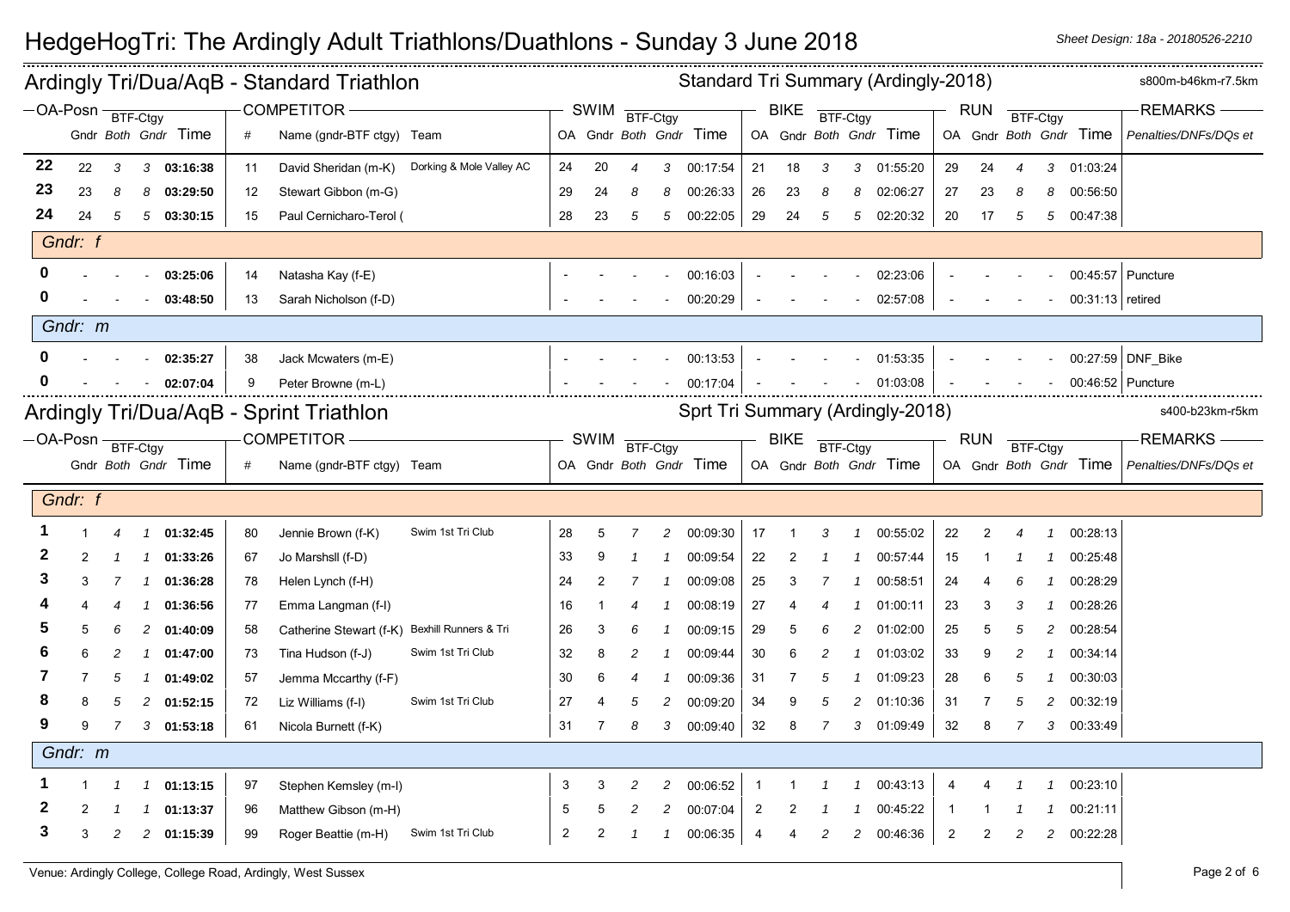| Standard Tri Summary (Ardingly-2018)<br>Ardingly Tri/Dua/AqB - Standard Triathlon |                              |                                                           |               |                     |    |                                               |                          |    |      |                |    |                                  |                | s800m-b46km-r7.5km |          |   |                        |    |              |                          |                |                        |                       |
|-----------------------------------------------------------------------------------|------------------------------|-----------------------------------------------------------|---------------|---------------------|----|-----------------------------------------------|--------------------------|----|------|----------------|----|----------------------------------|----------------|--------------------|----------|---|------------------------|----|--------------|--------------------------|----------------|------------------------|-----------------------|
|                                                                                   |                              | COMPETITOR-<br>$-OA-Posn$ BTF-Ctgy<br>Gndr Both Gndr Time |               |                     |    |                                               |                          |    | SWIM | BTF-Ctgy       |    |                                  |                | <b>BIKE</b>        | BTF-Ctgy |   |                        |    | <b>RUN</b>   | BTF-Ctgy                 |                |                        | <b>REMARKS</b>        |
|                                                                                   |                              |                                                           |               |                     | #  | Name (gndr-BTF ctgy) Team                     |                          |    |      |                |    | OA Gndr Both Gndr Time           |                |                    |          |   | OA Gndr Both Gndr Time |    |              |                          |                | OA Gndr Both Gndr Time | Penalties/DNFs/DQs et |
| 22                                                                                | 22                           | 3                                                         |               | 3 03:16:38          | 11 | David Sheridan (m-K)                          | Dorking & Mole Valley AC | 24 | 20   | $\overline{4}$ | 3  | 00:17:54                         | 21             | 18                 | 3        | 3 | 01:55:20               | 29 | 24           | $\overline{\mathcal{A}}$ | 3              | 01:03:24               |                       |
| 23                                                                                | 23                           | 8                                                         | 8             | 03:29:50            | 12 | Stewart Gibbon (m-G)                          |                          | 29 | 24   | 8              | 8  | 00:26:33                         | 26             | 23                 | 8        | 8 | 02:06:27               | 27 | 23           | 8                        | 8              | 00:56:50               |                       |
| 24                                                                                | 24                           | 5                                                         |               | 503:30:15           | 15 | Paul Cernicharo-Terol (                       |                          | 28 | 23   | 5              | 5  | 00:22:05                         | 29             | 24                 | 5        |   | 5 02:20:32             | 20 | 17           | 5                        |                | 5 00:47:38             |                       |
|                                                                                   | Gndr: f                      |                                                           |               |                     |    |                                               |                          |    |      |                |    |                                  |                |                    |          |   |                        |    |              |                          |                |                        |                       |
|                                                                                   |                              |                                                           |               | 03:25:06            | 14 | Natasha Kay (f-E)                             |                          |    |      |                |    | 00:16:03                         |                |                    |          |   | 02:23:06               |    |              |                          |                | 00:45:57 Puncture      |                       |
|                                                                                   |                              |                                                           |               | 03:48:50            | 13 | Sarah Nicholson (f-D)                         |                          |    |      |                |    | 00:20:29                         |                |                    |          |   | 02:57:08               |    |              |                          |                | 00:31:13 retired       |                       |
|                                                                                   | Gndr: m                      |                                                           |               |                     |    |                                               |                          |    |      |                |    |                                  |                |                    |          |   |                        |    |              |                          |                |                        |                       |
|                                                                                   |                              |                                                           |               | 02:35:27            | 38 | Jack Mcwaters (m-E)                           |                          |    |      |                |    | 00:13:53                         |                |                    |          |   | 01:53:35               |    |              |                          |                |                        | 00:27:59 DNF_Bike     |
|                                                                                   |                              |                                                           |               | 02:07:04            | 9  | Peter Browne (m-L)                            |                          |    |      |                |    | 00:17:04                         |                |                    |          |   | 01:03:08               |    |              |                          |                | 00:46:52   Puncture    |                       |
|                                                                                   |                              |                                                           |               |                     |    | Ardingly Tri/Dua/AqB - Sprint Triathlon       |                          |    |      |                |    | Sprt Tri Summary (Ardingly-2018) |                |                    |          |   |                        |    |              |                          |                |                        | s400-b23km-r5km       |
|                                                                                   | $-OA-Posn \frac{}{BTF-Ctgy}$ |                                                           |               |                     |    | COMPETITOR-                                   |                          |    | SWIM | BTF-Ctgy       |    |                                  |                | <b>BIKE</b>        | BTF-Ctgy |   |                        |    | RUN BTF-Ctgy |                          |                |                        | <b>REMARKS</b>        |
|                                                                                   |                              |                                                           |               |                     |    |                                               |                          |    |      |                |    |                                  |                |                    |          |   |                        |    |              |                          |                |                        |                       |
|                                                                                   |                              |                                                           |               | Gndr Both Gndr Time | #  | Name (gndr-BTF ctgy) Team                     |                          |    |      |                |    | OA Gndr Both Gndr Time           |                |                    |          |   | OA Gndr Both Gndr Time |    |              |                          |                | OA Gndr Both Gndr Time | Penalties/DNFs/DQs et |
|                                                                                   | Gndr: f                      |                                                           |               |                     |    |                                               |                          |    |      |                |    |                                  |                |                    |          |   |                        |    |              |                          |                |                        |                       |
|                                                                                   |                              | 4                                                         | $\mathcal I$  | 01:32:45            | 80 | Jennie Brown (f-K)                            | Swim 1st Tri Club        | 28 | 5    | 7              | 2  | 00:09:30                         | 17             |                    | 3        |   | 00:55:02               | 22 | 2            | 4                        | $\mathcal I$   | 00:28:13               |                       |
|                                                                                   |                              |                                                           | 1             | 01:33:26            | 67 | Jo Marshsll (f-D)                             |                          | 33 |      |                |    | 00:09:54                         | 22             |                    |          |   | 00:57:44               | 15 |              |                          |                | 00:25:48               |                       |
|                                                                                   |                              |                                                           |               | 01:36:28            | 78 | Helen Lynch (f-H)                             |                          | 24 | 2    |                |    | 00:09:08                         | 25             |                    |          |   | 00:58:51               | 24 |              |                          |                | 00:28:29               |                       |
|                                                                                   |                              | 4                                                         | -1            | 01:36:56            | 77 | Emma Langman (f-I)                            |                          | 16 | -1   | 4              | -1 | 00:08:19                         | 27             |                    |          |   | 01:00:11               | 23 | 3            | 3                        | $\mathcal I$   | 00:28:26               |                       |
|                                                                                   |                              | 6                                                         | 2             | 01:40:09            | 58 | Catherine Stewart (f-K) Bexhill Runners & Tri |                          | 26 | 3    | 6              |    | 00:09:15                         | 29             | 5                  | 6        | 2 | 01:02:00               | 25 | 5            | 5                        | 2              | 00:28:54               |                       |
|                                                                                   |                              |                                                           | 1             | 01:47:00            | 73 | Tina Hudson (f-J)                             | Swim 1st Tri Club        | 32 | 8    | 2              |    | 00:09:44                         | 30             | 6                  |          |   | 01:03:02               | 33 | 9            | 2                        |                | 00:34:14               |                       |
|                                                                                   |                              | 5                                                         | 1             | 01:49:02            | 57 | Jemma Mccarthy (f-F)                          |                          | 30 | 6    | 4              |    | 00:09:36                         | 31             |                    | 5        |   | 01:09:23               | 28 | 6            | 5                        | $\mathcal I$   | 00:30:03               |                       |
|                                                                                   |                              | 5                                                         | 2             | 01:52:15            | 72 | Liz Williams (f-l)                            | Swim 1st Tri Club        | 27 |      | 5              | 2  | 00:09:20                         | 34             | 9                  | 5        | 2 | 01:10:36               | 31 | 7            | 5                        | $\overline{c}$ | 00:32:19               |                       |
|                                                                                   |                              | 7                                                         |               | $3$ 01:53:18        | 61 | Nicola Burnett (f-K)                          |                          | 31 | 7    | 8              | 3  | 00:09:40                         | 32             | 8                  | 7        |   | 3 01:09:49             | 32 | 8            |                          |                | 3 00:33:49             |                       |
|                                                                                   | Gndr: m                      |                                                           |               |                     |    |                                               |                          |    |      |                |    |                                  |                |                    |          |   |                        |    |              |                          |                |                        |                       |
|                                                                                   |                              | $\overline{1}$                                            | $\mathbf{1}$  | 01:13:15            | 97 | Stephen Kemsley (m-l)                         |                          | 3  | 3    | 2              | 2  | 00:06:52                         | -1             |                    |          |   | 00:43:13               | 4  |              |                          | 1              | 00:23:10               |                       |
|                                                                                   |                              |                                                           | $\mathcal{I}$ | 01:13:37            | 96 | Matthew Gibson (m-H)                          |                          | 5  |      | 2              | 2  | 00:07:04                         | $\overline{2}$ |                    |          |   | 00:45:22               |    |              |                          |                | 00:21:11               |                       |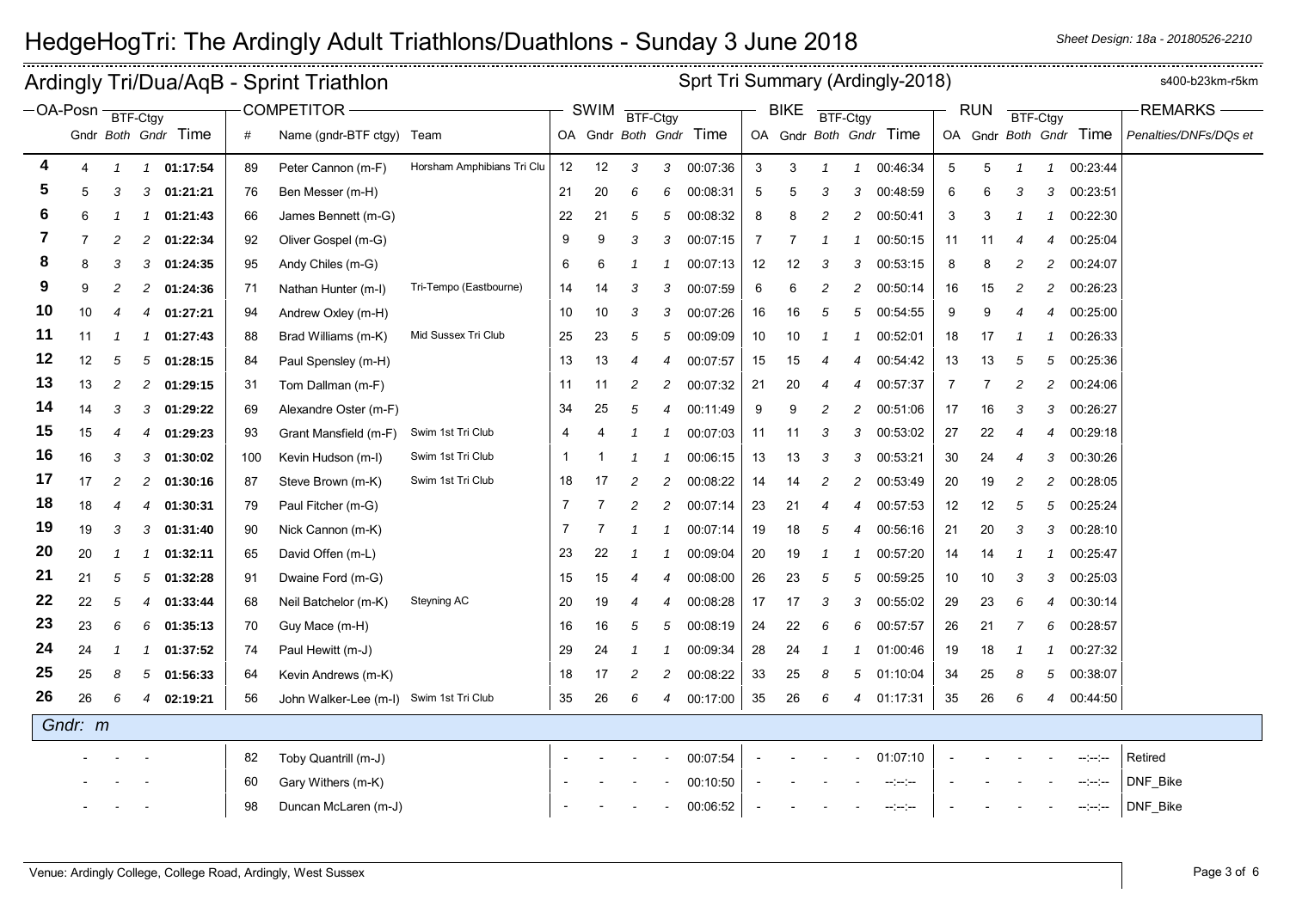|            |                |                |               | Ardingly Tri/Dua/AqB - Sprint Triathlon |     |                                         | Sprt Tri Summary (Ardingly-2018) |              |             |                          |                |                        |    |             |                |                |                        |                |            | s400-b23km-r5km          |                |                        |                       |
|------------|----------------|----------------|---------------|-----------------------------------------|-----|-----------------------------------------|----------------------------------|--------------|-------------|--------------------------|----------------|------------------------|----|-------------|----------------|----------------|------------------------|----------------|------------|--------------------------|----------------|------------------------|-----------------------|
| -OA-Posn - |                | BTF-Ctgy       |               |                                         |     | <b>COMPETITOR -</b>                     |                                  |              | <b>SWIM</b> | BTF-Ctgy                 |                |                        |    | <b>BIKE</b> | BTF-Ctgy       |                |                        |                | <b>RUN</b> |                          | BTF-Ctgy       |                        | <b>REMARKS</b>        |
|            |                |                |               | Gndr Both Gndr Time                     | #   | Name (gndr-BTF ctgy) Team               |                                  |              |             |                          |                | OA Gndr Both Gndr Time |    |             |                |                | OA Gndr Both Gndr Time |                |            |                          |                | OA Gndr Both Gndr Time | Penalties/DNFs/DQs et |
| 4          | $\overline{4}$ | 1              | $\mathcal{I}$ | 01:17:54                                | 89  | Peter Cannon (m-F)                      | Horsham Amphibians Tri Clu       | 12           | 12          | 3                        |                | 3 00:07:36             | 3  | 3           | $\mathcal I$   | $\mathcal{I}$  | 00:46:34               | $\overline{5}$ | 5          | $\overline{\mathcal{L}}$ | $\mathbf{1}$   | 00:23:44               |                       |
| 5          | 5              | 3              | 3             | 01:21:21                                | 76  | Ben Messer (m-H)                        |                                  | 21           | 20          | 6                        | 6              | 00:08:31               | 5  | 5           | 3              | 3              | 00:48:59               | 6              | 6          | 3                        | 3              | 00:23:51               |                       |
| 6          | 6              |                |               | 01:21:43                                | 66  | James Bennett (m-G)                     |                                  | 22           | 21          | 5                        | 5              | 00:08:32               | 8  | 8           | 2              | 2              | 00:50:41               | 3              | 3          |                          | -1             | 00:22:30               |                       |
| 7          |                | 2              | 2             | 01:22:34                                | 92  | Oliver Gospel (m-G)                     |                                  | 9            | 9           | 3                        | 3              | 00:07:15               | 7  | -7          | -1             |                | 00:50:15               | 11             | 11         | 4                        | 4              | 00:25:04               |                       |
| 8          | 8              | 3              | 3             | 01:24:35                                | 95  | Andy Chiles (m-G)                       |                                  | 6            | 6           | -1                       |                | 00:07:13               | 12 | 12          | 3              | 3              | 00:53:15               | 8              | 8          | 2                        | $\overline{c}$ | 00:24:07               |                       |
| 9          | 9              | $\overline{c}$ | 2             | 01:24:36                                | 71  | Nathan Hunter (m-I)                     | Tri-Tempo (Eastbourne)           | 14           | 14          | 3                        | 3              | 00:07:59               | 6  | 6           | 2              | 2              | 00:50:14               | 16             | 15         | 2                        | $\overline{c}$ | 00:26:23               |                       |
| 10         | 10             | 4              | 4             | 01:27:21                                | 94  | Andrew Oxley (m-H)                      |                                  | 10           | 10          | 3                        | 3              | 00:07:26               | 16 | 16          | 5              | 5              | 00:54:55               | 9              | 9          | 4                        | $\overline{4}$ | 00:25:00               |                       |
| 11         | 11             |                |               | 01:27:43                                | 88  | Brad Williams (m-K)                     | Mid Sussex Tri Club              | 25           | 23          | 5                        | 5              | 00:09:09               | 10 | 10          |                |                | 00:52:01               | 18             | 17         |                          |                | 00:26:33               |                       |
| 12         | 12             | 5              | 5             | 01:28:15                                | 84  | Paul Spensley (m-H)                     |                                  | 13           | 13          | $\overline{\mathcal{A}}$ | 4              | 00:07:57               | 15 | 15          |                | 4              | 00:54:42               | 13             | 13         | 5                        | 5              | 00:25:36               |                       |
| 13         | 13             | 2              | 2             | 01:29:15                                | 31  | Tom Dallman (m-F)                       |                                  | 11           | 11          | $\overline{c}$           | 2              | 00:07:32               | 21 | 20          | 4              | 4              | 00:57:37               | -7             | 7          | 2                        | $\overline{c}$ | 00:24:06               |                       |
| 14         | 14             | 3              | 3             | 01:29:22                                | 69  | Alexandre Oster (m-F)                   |                                  | 34           | 25          | 5                        | 4              | 00:11:49               | 9  | 9           | $\overline{c}$ | 2              | 00:51:06               | 17             | 16         | 3                        | 3              | 00:26:27               |                       |
| 15         | 15             | 4              | 4             | 01:29:23                                | 93  | Grant Mansfield (m-F)                   | Swim 1st Tri Club                | 4            |             |                          |                | 00:07:03               | 11 | 11          | 3              | 3              | 00:53:02               | 27             | 22         | 4                        | 4              | 00:29:18               |                       |
| 16         | 16             | 3              | 3             | 01:30:02                                | 100 | Kevin Hudson (m-I)                      | Swim 1st Tri Club                | $\mathbf{1}$ |             |                          |                | 00:06:15               | 13 | 13          | 3              | 3              | 00:53:21               | 30             | 24         | 4                        | 3              | 00:30:26               |                       |
| 17         | 17             | 2              |               | 01:30:16                                | 87  | Steve Brown (m-K)                       | Swim 1st Tri Club                | 18           | 17          | $\overline{c}$           | $\overline{2}$ | 00:08:22               | 14 | 14          | $\overline{c}$ | $\overline{c}$ | 00:53:49               | 20             | 19         | 2                        | $\overline{c}$ | 00:28:05               |                       |
| 18         | 18             | 4              |               | 01:30:31                                | 79  | Paul Fitcher (m-G)                      |                                  | 7            | 7           | $\overline{c}$           | $\overline{c}$ | 00:07:14               | 23 | 21          | $\overline{4}$ | 4              | 00:57:53               | 12             | 12         | 5                        | 5              | 00:25:24               |                       |
| 19         | 19             | 3              | 3             | 01:31:40                                | 90  | Nick Cannon (m-K)                       |                                  | 7            |             |                          |                | 00:07:14               | 19 | 18          | 5              | 4              | 00:56:16               | 21             | 20         | 3                        | 3              | 00:28:10               |                       |
| 20         | 20             | 1              |               | 01:32:11                                | 65  | David Offen (m-L)                       |                                  | 23           | 22          |                          |                | 00:09:04               | 20 | 19          | 1              |                | 00:57:20               | 14             | 14         | -1                       |                | 00:25:47               |                       |
| 21         | 21             | 5              | 5             | 01:32:28                                | 91  | Dwaine Ford (m-G)                       |                                  | 15           | 15          | $\overline{4}$           | 4              | 00:08:00               | 26 | 23          | 5              | 5              | 00:59:25               | 10             | 10         | 3                        | 3              | 00:25:03               |                       |
| 22         | 22             | 5              |               | 01:33:44                                | 68  | Neil Batchelor (m-K)                    | Steyning AC                      | 20           | 19          | $\overline{\mathcal{A}}$ | 4              | 00:08:28               | 17 | 17          | 3              | 3              | 00:55:02               | 29             | 23         | 6                        | 4              | 00:30:14               |                       |
| 23         | 23             | 6              | 6             | 01:35:13                                | 70  | Guy Mace (m-H)                          |                                  | 16           | 16          | 5                        | 5              | 00:08:19               | 24 | 22          | 6              | 6              | 00:57:57               | 26             | 21         | 7                        | 6              | 00:28:57               |                       |
| 24         | 24             |                |               | 01:37:52                                | 74  | Paul Hewitt (m-J)                       |                                  | 29           | 24          | -1                       |                | 00:09:34               | 28 | 24          |                |                | 01:00:46               | 19             | 18         |                          |                | 00:27:32               |                       |
| 25         | 25             | 8              | 5             | 01:56:33                                | 64  | Kevin Andrews (m-K)                     |                                  | 18           | 17          | $\overline{c}$           | $\overline{c}$ | 00:08:22               | 33 | 25          | 8              | 5              | 01:10:04               | 34             | 25         | 8                        | 5              | 00:38:07               |                       |
| 26         | 26             | 6              |               | 02:19:21                                | 56  | John Walker-Lee (m-I) Swim 1st Tri Club |                                  | 35           | 26          | 6                        | 4              | 00:17:00               | 35 | 26          | 6              | $\overline{4}$ | 01:17:31               | 35             | 26         | 6                        | $\overline{4}$ | 00:44:50               |                       |
|            | Gndr: m        |                |               |                                         |     |                                         |                                  |              |             |                          |                |                        |    |             |                |                |                        |                |            |                          |                |                        |                       |
|            |                |                |               |                                         | 82  | Toby Quantrill (m-J)                    |                                  |              |             |                          |                | 00:07:54               |    |             |                |                | 01:07:10               |                |            |                          |                | $-1 - 1 - 1 - 1$       | Retired               |
|            |                |                |               |                                         | 60  | Gary Withers (m-K)                      |                                  |              |             |                          |                | 00:10:50               |    |             |                |                | $-1 - 1 - 1$           |                |            |                          |                | -----                  | DNF_Bike              |
|            |                |                |               |                                         | 98  | Duncan McLaren (m-J)                    |                                  |              |             |                          |                | 00:06:52               |    |             |                |                | $-1 - 1 - 1$           |                |            |                          |                | -----                  | DNF_Bike              |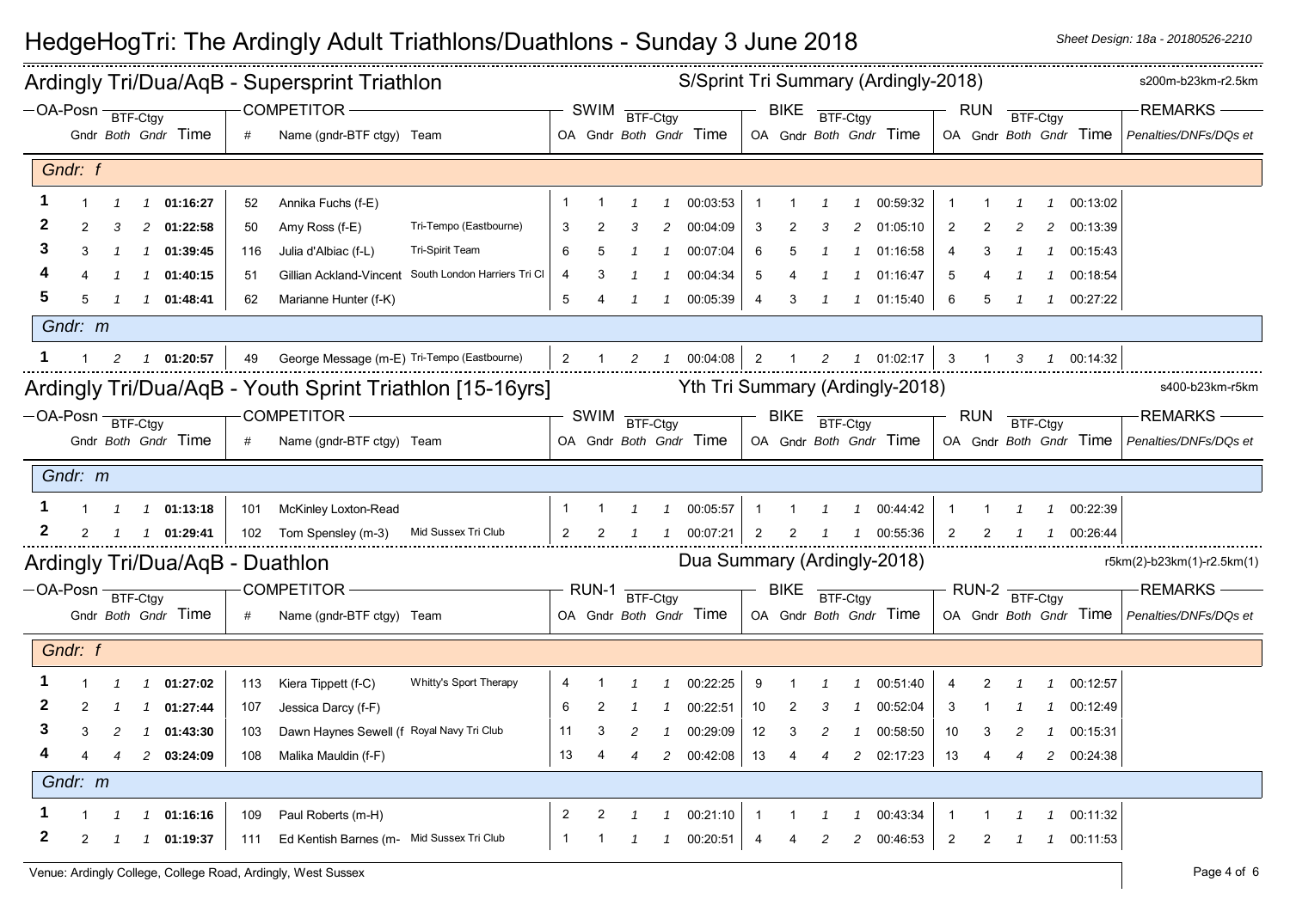| S/Sprint Tri Summary (Ardingly-2018)<br>Ardingly Tri/Dua/AqB - Supersprint Triathlon<br>$\overline{+}$ RUN BTF-Ctgy |         |                                                                                                                    |               |                                    |     |                                                |                                                          |                |                |                |               |                             | s200m-b23km-r2.5km |                |                |                |                                 |                         |                |                |               |            |                                                                                                  |
|---------------------------------------------------------------------------------------------------------------------|---------|--------------------------------------------------------------------------------------------------------------------|---------------|------------------------------------|-----|------------------------------------------------|----------------------------------------------------------|----------------|----------------|----------------|---------------|-----------------------------|--------------------|----------------|----------------|----------------|---------------------------------|-------------------------|----------------|----------------|---------------|------------|--------------------------------------------------------------------------------------------------|
|                                                                                                                     |         | COMPETITOR -<br>$-$ OA-Posn $\frac{1}{\sqrt{3}}$ BTF-Ctgy<br>Gndr Both Gndr Time<br>Name (gndr-BTF ctgy) Team<br># |               |                                    |     |                                                |                                                          |                |                | SWIM BTF-Ctgy  |               |                             |                    |                |                |                | $BIKE$ $\frac{}{BTF-Ctgy}$      |                         |                |                |               |            | -REMARKS-                                                                                        |
|                                                                                                                     |         |                                                                                                                    |               |                                    |     |                                                |                                                          |                |                |                |               |                             |                    |                |                |                |                                 |                         |                |                |               |            | OA Gndr Both Gndr Time   OA Gndr Both Gndr Time   OA Gndr Both Gndr Time   Penalties/DNFs/DQs et |
|                                                                                                                     | Gndr: f |                                                                                                                    |               |                                    |     |                                                |                                                          |                |                |                |               |                             |                    |                |                |                |                                 |                         |                |                |               |            |                                                                                                  |
|                                                                                                                     |         |                                                                                                                    |               | 1 01:16:27                         | 52  | Annika Fuchs (f-E)                             |                                                          |                |                |                |               | 00:03:53                    |                    |                |                |                | 00:59:32                        |                         |                |                |               | 00:13:02   |                                                                                                  |
|                                                                                                                     |         |                                                                                                                    |               | 2 01:22:58                         | 50  | Amy Ross (f-E)                                 | Tri-Tempo (Eastbourne)                                   | 3              |                | 3              | 2             | 00:04:09                    | 3                  |                |                |                | 01:05:10                        | $\overline{2}$          |                |                | 2             | 00:13:39   |                                                                                                  |
|                                                                                                                     |         |                                                                                                                    | $\mathcal{I}$ | 01:39:45                           | 116 | Julia d'Albiac (f-L)                           | Tri-Spirit Team                                          |                |                |                |               | 00:07:04                    | 6                  |                |                |                | 01:16:58                        | 4                       | 3              |                |               | 00:15:43   |                                                                                                  |
|                                                                                                                     |         |                                                                                                                    |               | 1 01:40:15                         | 51  |                                                | Gillian Ackland-Vincent South London Harriers Tri Cl     | 4              | 3              |                |               | 00:04:34                    | 5                  |                |                |                | 01:16:47                        | 5                       |                |                |               | 00:18:54   |                                                                                                  |
|                                                                                                                     |         |                                                                                                                    |               | 1  1  01:48:41                     | 62  | Marianne Hunter (f-K)                          |                                                          | 5              |                | $\mathcal{I}$  | $\mathcal{I}$ | 00:05:39                    | $\overline{4}$     | 3              |                |                | 1 01:15:40                      | 6                       | 5              | $\overline{1}$ |               | 1 00:27:22 |                                                                                                  |
|                                                                                                                     | Gndr: m |                                                                                                                    |               |                                    |     |                                                |                                                          |                |                |                |               |                             |                    |                |                |                |                                 |                         |                |                |               |            |                                                                                                  |
|                                                                                                                     |         |                                                                                                                    |               | 1 2 1 01:20:57                     |     | 49 George Message (m-E) Tri-Tempo (Eastbourne) |                                                          |                |                | 2              |               |                             |                    |                |                |                | 1 00:04:08 2 1 2 1 01:02:17     | $\overline{\mathbf{3}}$ | $\overline{1}$ | 3              |               | 1 00:14:32 |                                                                                                  |
|                                                                                                                     |         |                                                                                                                    |               |                                    |     |                                                | Ardingly Tri/Dua/AqB - Youth Sprint Triathlon [15-16yrs] |                |                |                |               |                             |                    |                |                |                | Yth Tri Summary (Ardingly-2018) |                         |                |                |               |            | s400-b23km-r5km                                                                                  |
| $-OA-Posn \frac{}{BTF-Ctgy}$                                                                                        |         |                                                                                                                    |               |                                    |     | COMPETITOR -                                   |                                                          |                |                | SWIM BTF-Ctgy  |               |                             |                    | BIKE BTF-Ctgy  |                |                |                                 |                         | <b>RUN</b>     |                | BTF-Ctgy      |            | <b>REMARKS</b>                                                                                   |
|                                                                                                                     |         |                                                                                                                    |               | Gndr Both Gndr Time                | #   | Name (gndr-BTF ctgy) Team                      |                                                          |                |                |                |               | OA Gndr Both Gndr Time      |                    |                |                |                | OA Gndr Both Gndr Time          |                         |                |                |               |            | OA Gndr Both Gndr Time   Penalties/DNFs/DQs et                                                   |
|                                                                                                                     | Gndr: m |                                                                                                                    |               |                                    |     |                                                |                                                          |                |                |                |               |                             |                    |                |                |                |                                 |                         |                |                |               |            |                                                                                                  |
|                                                                                                                     |         |                                                                                                                    |               | $1 \quad 1 \quad 1 \quad 01:13:18$ |     | 101 McKinley Loxton-Read                       |                                                          | -1             | $\overline{1}$ | $\overline{1}$ | $\mathcal{I}$ | 00:05:57                    | $\overline{1}$     | $\overline{1}$ | $\overline{1}$ | $\mathcal{I}$  | 00:44:42                        | $\overline{1}$          | $\overline{1}$ | $\overline{1}$ |               | 1 00:22:39 |                                                                                                  |
| $\mathbf{z}$                                                                                                        |         |                                                                                                                    |               | 2  1  1  01:29:41                  |     | 102 Tom Spensley (m-3) Mid Sussex Tri Club     |                                                          | $\overline{2}$ | 2              | $\overline{1}$ |               | 100:07:21                   | $\overline{2}$     | 2              |                |                | 1 00:55:36                      | $\overline{2}$          | 2              |                |               | 1 00:26:44 |                                                                                                  |
|                                                                                                                     |         |                                                                                                                    |               |                                    |     | Ardingly Tri/Dua/AqB - Duathlon                |                                                          |                |                |                |               | Dua Summary (Ardingly-2018) |                    |                |                |                |                                 |                         |                |                |               |            | r5km(2)-b23km(1)-r2.5km(1)                                                                       |
| $-OA-Posn \frac{}{BTF-Ctgy}$                                                                                        |         |                                                                                                                    |               |                                    |     | COMPETITOR-                                    |                                                          |                |                | RUN-1 BTF-Ctgy |               |                             |                    | BIKE BTF-Ctgy  |                |                |                                 |                         |                | RUN-2 BTF-Ctgy |               |            | <b>REMARKS</b>                                                                                   |
|                                                                                                                     |         |                                                                                                                    |               | Gndr Both Gndr Time                |     | Name (gndr-BTF ctgy) Team                      |                                                          |                |                |                |               | OA Gndr Both Gndr Time      |                    |                |                |                | OA Gndr Both Gndr Time          |                         |                |                |               |            | OA Gndr Both Gndr Time   Penalties/DNFs/DQs et                                                   |
|                                                                                                                     | Gndr: f |                                                                                                                    |               |                                    |     |                                                |                                                          |                |                |                |               |                             |                    |                |                |                |                                 |                         |                |                |               |            |                                                                                                  |
|                                                                                                                     |         |                                                                                                                    |               | $1$ 01:27:02                       | 113 | Kiera Tippett (f-C)                            | Whitty's Sport Therapy                                   |                |                |                |               | 00:22:25                    | 9                  |                |                |                | 00:51:40                        | 4                       | 2              |                |               | 00:12:57   |                                                                                                  |
|                                                                                                                     |         |                                                                                                                    | 1             | 01:27:44                           | 107 | Jessica Darcy (f-F)                            |                                                          | 6              | 2              |                |               | 00:22:51                    | 10                 | 2              | 3              |                | 00:52:04                        | 3                       |                |                |               | 00:12:49   |                                                                                                  |
|                                                                                                                     |         | 2                                                                                                                  | $\mathcal I$  | 01:43:30                           | 103 | Dawn Haynes Sewell (f Royal Navy Tri Club      |                                                          | 11             | 3              | 2              |               | 00:29:09                    | 12                 | 3              | 2              |                | 00:58:50                        | 10                      | 3              |                |               | 00:15:31   |                                                                                                  |
|                                                                                                                     |         | $\overline{4}$                                                                                                     |               | 2 03:24:09                         | 108 | Malika Mauldin (f-F)                           |                                                          | 13             | 4              | $\overline{4}$ |               | 2 00:42:08                  | 13                 | $\overline{4}$ | $\overline{4}$ |                | 2 02:17:23                      | 13                      | 4              |                |               | 2 00:24:38 |                                                                                                  |
|                                                                                                                     | Gndr: m |                                                                                                                    |               |                                    |     |                                                |                                                          |                |                |                |               |                             |                    |                |                |                |                                 |                         |                |                |               |            |                                                                                                  |
|                                                                                                                     |         |                                                                                                                    |               | 1 01:16:16                         | 109 | Paul Roberts (m-H)                             |                                                          | $\overline{2}$ | $\overline{2}$ | $\overline{1}$ | $\mathcal{I}$ | 00:21:10                    | $\overline{1}$     |                |                |                | 00:43:34                        | $\mathbf 1$             |                |                | $\mathcal{I}$ | 00:11:32   |                                                                                                  |
| 2                                                                                                                   | 2       | $\overline{1}$                                                                                                     |               | 1 01:19:37                         | 111 | Ed Kentish Barnes (m- Mid Sussex Tri Club      |                                                          | -1             |                |                | $\mathcal I$  | 00:20:51                    | 4                  |                | 2              | $\overline{2}$ | 00:46:53                        | $\overline{2}$          | $\overline{2}$ |                |               | 1 00:11:53 |                                                                                                  |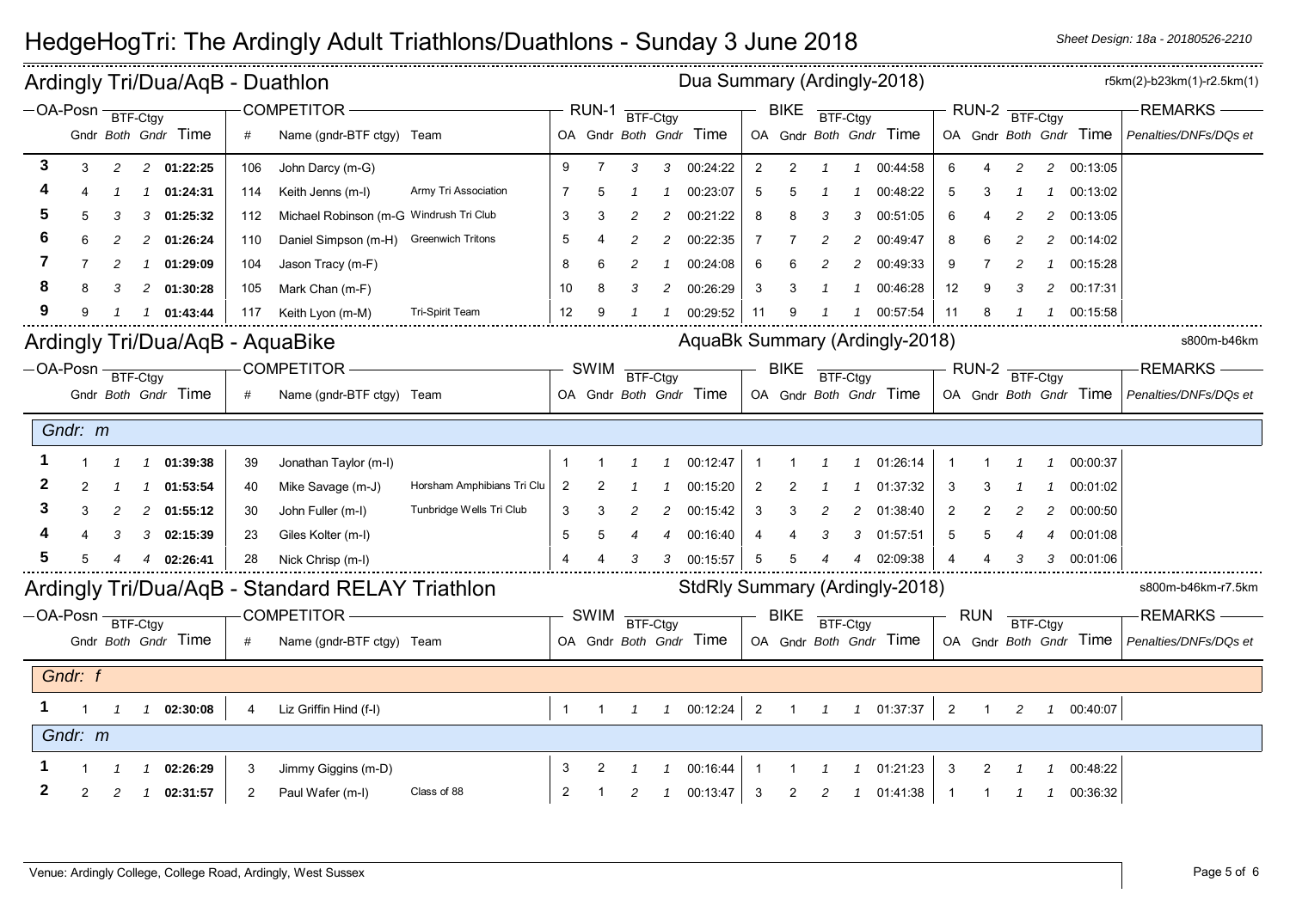| Ardingly Tri/Dua/AqB - Duathlon<br>$-OA-Posn$ BTF-Ctgy |         |                |   |                                 |     |                                                 |                            |                |                |                              |               | Dua Summary (Ardingly-2018) |                |                |          |                |                                |                |                |   |                |                        | r5km(2)-b23km(1)-r2.5km(1) |
|--------------------------------------------------------|---------|----------------|---|---------------------------------|-----|-------------------------------------------------|----------------------------|----------------|----------------|------------------------------|---------------|-----------------------------|----------------|----------------|----------|----------------|--------------------------------|----------------|----------------|---|----------------|------------------------|----------------------------|
|                                                        |         |                |   |                                 |     | <b>COMPETITOR</b>                               |                            |                |                | $RUN-1$ $\frac{1}{BTF-Ctgy}$ |               |                             |                | <b>BIKE</b>    | BTF-Ctgy |                |                                |                | RUN-2 BTF-Ctgy |   |                |                        | <b>REMARKS</b>             |
|                                                        |         |                |   | Gndr Both Gndr Time             | #   | Name (gndr-BTF ctgy) Team                       |                            |                |                |                              |               | OA Gndr Both Gndr Time      |                |                |          |                | OA Gndr Both Gndr Time         |                |                |   |                | OA Gndr Both Gndr Time | Penalties/DNFs/DQs et      |
| 3                                                      | 3       | $\overline{c}$ |   | 2 01:22:25                      | 106 | John Darcy (m-G)                                |                            | 9              | $\overline{7}$ | 3                            | 3             | 00:24:22                    | $\overline{2}$ | $\overline{2}$ | -1       | $\mathbf{1}$   | 00:44:58                       | 6              | 4              | 2 | $\overline{a}$ | 00:13:05               |                            |
|                                                        |         |                |   | 01:24:31                        | 114 | Keith Jenns (m-I)                               | Army Tri Association       |                |                |                              |               | 00:23:07                    | 5              |                |          |                | 00:48:22                       |                |                |   |                | 00:13:02               |                            |
|                                                        |         | 3              | 3 | 01:25:32                        | 112 | Michael Robinson (m-G Windrush Tri Club         |                            | 3              |                |                              | 2             | 00:21:22                    | 8              |                | 3        | 3              | 00:51:05                       | 6              |                |   | 2              | 00:13:05               |                            |
|                                                        |         | 2              | 2 | 01:26:24                        | 110 | Daniel Simpson (m-H)                            | <b>Greenwich Tritons</b>   | 5              |                | 2                            | 2             | 00:22:35                    |                |                | 2        | 2              | 00:49:47                       | 8              |                |   | 2              | 00:14:02               |                            |
|                                                        |         | 2              | 1 | 01:29:09                        | 104 | Jason Tracy (m-F)                               |                            | 8              | 6              |                              |               | 00:24:08                    | 6              |                |          | $\overline{c}$ | 00:49:33                       | 9              |                |   |                | 00:15:28               |                            |
|                                                        |         | 3              | 2 | 01:30:28                        | 105 | Mark Chan (m-F)                                 |                            | 10             | 8              | 3                            | 2             | 00:26:29                    | 3              |                |          |                | 00:46:28                       | 12             | 9              | 3 | 2              | 00:17:31               |                            |
|                                                        |         |                |   | $1 \quad 01:43:44$              | 117 | Keith Lyon (m-M)                                | Tri-Spirit Team            | 12             | 9              |                              |               | 00:29:52                    | -11            |                |          |                | 00:57:54                       | 11             | 8              |   |                | 1 00:15:58             |                            |
|                                                        |         |                |   | Ardingly Tri/Dua/AqB - AquaBike |     |                                                 |                            |                |                |                              |               |                             |                |                |          |                | AquaBk Summary (Ardingly-2018) |                |                |   |                |                        | s800m-b46km                |
| $-OA-Posn \frac{}{BTF-Ctgy}$                           |         |                |   |                                 |     | <b>COMPETITOR</b>                               |                            |                |                | SWIM BTF-Ctgy                |               |                             |                | <b>BIKE</b>    | BTF-Ctgy |                |                                |                | RUN-2 BTF-Ctgy |   |                |                        | -REMARKS -                 |
|                                                        |         |                |   | Gndr Both Gndr Time             |     | Name (gndr-BTF ctgy) Team                       |                            |                |                |                              |               | OA Gndr Both Gndr Time      |                |                |          |                | OA Gndr Both Gndr Time         |                |                |   |                | OA Gndr Both Gndr Time | Penalties/DNFs/DQs et      |
|                                                        | Gndr: m |                |   |                                 |     |                                                 |                            |                |                |                              |               |                             |                |                |          |                |                                |                |                |   |                |                        |                            |
|                                                        |         |                | 1 | 01:39:38                        | 39  | Jonathan Taylor (m-I)                           |                            | -1             |                |                              |               | 00:12:47                    | -1             |                |          |                | 01:26:14                       |                |                |   |                | 00:00:37               |                            |
|                                                        |         |                |   | 01:53:54                        | 40  | Mike Savage (m-J)                               | Horsham Amphibians Tri Clu | 2              |                |                              |               | 00:15:20                    | 2              |                |          |                | 01:37:32                       | 3              |                |   |                | 00:01:02               |                            |
|                                                        |         |                |   | 2 01:55:12                      | 30  | John Fuller (m-I)                               | Tunbridge Wells Tri Club   | -3             |                |                              | 2             | 00:15:42                    | 3              |                |          | $\overline{c}$ | 01:38:40                       | 2              |                |   | 2              | 00:00:50               |                            |
|                                                        |         | 3              | 3 | 02:15:39                        | 23  | Giles Kolter (m-I)                              |                            | 5              | 5              |                              |               | 00:16:40                    | 4              |                | 3        | 3              | 01:57:51                       | 5              |                |   | 4              | 00:01:08               |                            |
|                                                        |         |                |   | 4 02:26:41                      | 28  | Nick Chrisp (m-I)                               |                            | $\overline{4}$ |                |                              | 3             | 00:15:57                    | 5              |                |          | 4              | 02:09:38                       |                |                |   |                | 3 00:01:06             |                            |
|                                                        |         |                |   |                                 |     | Ardingly Tri/Dua/AqB - Standard RELAY Triathlon |                            |                |                |                              |               |                             |                |                |          |                | StdRly Summary (Ardingly-2018) |                |                |   |                |                        | s800m-b46km-r7.5km         |
| -OA-Posn FF-Ctgy                                       |         |                |   |                                 |     | COMPETITOR-                                     |                            |                | SWIM           | BTF-Ctgy                     |               |                             |                | <b>BIKE</b>    | BTF-Ctgy |                |                                |                | <b>RUN</b>     |   | BTF-Ctgy       |                        | <b>REMARKS</b>             |
|                                                        |         |                |   | Gndr Both Gndr Time             | #   | Name (gndr-BTF ctgy) Team                       |                            |                |                |                              |               | OA Gndr Both Gndr Time      |                |                |          |                | OA Gndr Both Gndr Time         |                |                |   |                | OA Gndr Both Gndr Time | Penalties/DNFs/DQs et      |
|                                                        | Gndr: f |                |   |                                 |     |                                                 |                            |                |                |                              |               |                             |                |                |          |                |                                |                |                |   |                |                        |                            |
|                                                        |         | $\mathcal I$   |   | 1 02:30:08                      |     | Liz Griffin Hind (f-I)                          |                            |                | $1 \quad 1$    | $\overline{1}$               |               | $100:12:24$ 2               |                |                |          |                | 1  1  1  01:37:37              | $\overline{2}$ | $\overline{1}$ |   |                | 2  1  00:40:07         |                            |
|                                                        | Gndr: m |                |   |                                 |     |                                                 |                            |                |                |                              |               |                             |                |                |          |                |                                |                |                |   |                |                        |                            |
|                                                        |         |                |   | 02:26:29                        | 3   | Jimmy Giggins (m-D)                             |                            | -3             |                |                              |               | 00:16:44                    |                |                |          |                | 01:21:23                       | 3              |                |   |                | 00:48:22               |                            |
| 2                                                      | 2       | 2              |   | $1$ 02:31:57                    | 2   | Paul Wafer (m-l)                                | Class of 88                | $\overline{c}$ |                | 2                            | $\mathcal{I}$ | 00:13:47                    | 3              | 2              | 2        | $\mathcal I$   | 01:41:38                       |                |                |   | $\mathcal{I}$  | 00:36:32               |                            |